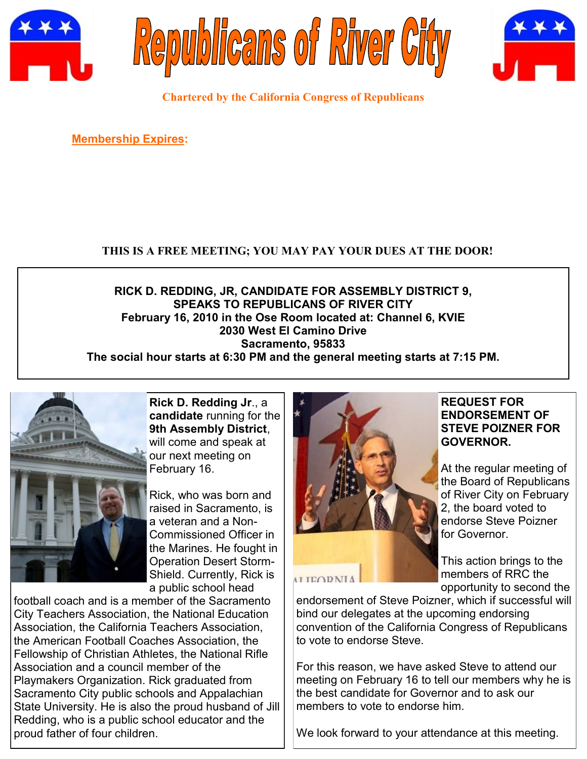





**Chartered by the California Congress of Republicans**

**Membership Expires:** 

# **THIS IS A FREE MEETING; YOU MAY PAY YOUR DUES AT THE DOOR!**

**RICK D. REDDING, JR, CANDIDATE FOR ASSEMBLY DISTRICT 9, SPEAKS TO REPUBLICANS OF RIVER CITY February 16, 2010 in the Ose Room located at: Channel 6, KVIE 2030 West El Camino Drive Sacramento, 95833**

**The social hour starts at 6:30 PM and the general meeting starts at 7:15 PM.**



**Rick D. Redding Jr**., a **candidate** running for the **9th Assembly District**, will come and speak at our next meeting on February 16.

Rick, who was born and raised in Sacramento, is a veteran and a Non-Commissioned Officer in the Marines. He fought in Operation Desert Storm-Shield. Currently, Rick is a public school head

football coach and is a member of the Sacramento City Teachers Association, the National Education Association, the California Teachers Association, the American Football Coaches Association, the Fellowship of Christian Athletes, the National Rifle Association and a council member of the Playmakers Organization. Rick graduated from Sacramento City public schools and Appalachian State University. He is also the proud husband of Jill Redding, who is a public school educator and the proud father of four children.



#### **REQUEST FOR ENDORSEMENT OF STEVE POIZNER FOR GOVERNOR.**

At the regular meeting of the Board of Republicans of River City on February 2, the board voted to endorse Steve Poizner for Governor.

This action brings to the members of RRC the opportunity to second the

endorsement of Steve Poizner, which if successful will bind our delegates at the upcoming endorsing convention of the California Congress of Republicans to vote to endorse Steve.

For this reason, we have asked Steve to attend our meeting on February 16 to tell our members why he is the best candidate for Governor and to ask our members to vote to endorse him.

We look forward to your attendance at this meeting.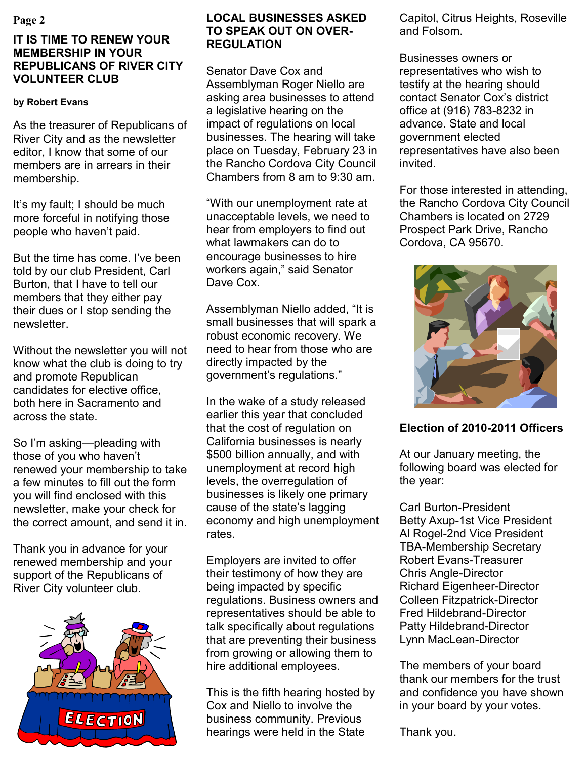## **IT IS TIME TO RENEW YOUR MEMBERSHIP IN YOUR REPUBLICANS OF RIVER CITY VOLUNTEER CLUB**

#### **by Robert Evans**

As the treasurer of Republicans of River City and as the newsletter editor, I know that some of our members are in arrears in their membership.

It's my fault; I should be much more forceful in notifying those people who haven't paid.

But the time has come. I've been told by our club President, Carl Burton, that I have to tell our members that they either pay their dues or I stop sending the newsletter.

Without the newsletter you will not know what the club is doing to try and promote Republican candidates for elective office, both here in Sacramento and across the state.

So I'm asking—pleading with those of you who haven't renewed your membership to take a few minutes to fill out the form you will find enclosed with this newsletter, make your check for the correct amount, and send it in.

Thank you in advance for your renewed membership and your support of the Republicans of River City volunteer club.



## **Page 2 LOCAL BUSINESSES ASKED TO SPEAK OUT ON OVER-REGULATION**

Senator Dave Cox and Assemblyman Roger Niello are asking area businesses to attend a legislative hearing on the impact of regulations on local businesses. The hearing will take place on Tuesday, February 23 in the Rancho Cordova City Council Chambers from 8 am to 9:30 am.

―With our unemployment rate at unacceptable levels, we need to hear from employers to find out what lawmakers can do to encourage businesses to hire workers again," said Senator Dave Cox.

Assemblyman Niello added, "It is small businesses that will spark a robust economic recovery. We need to hear from those who are directly impacted by the government's regulations."

In the wake of a study released earlier this year that concluded that the cost of regulation on California businesses is nearly \$500 billion annually, and with unemployment at record high levels, the overregulation of businesses is likely one primary cause of the state's lagging economy and high unemployment rates.

Employers are invited to offer their testimony of how they are being impacted by specific regulations. Business owners and representatives should be able to talk specifically about regulations that are preventing their business from growing or allowing them to hire additional employees.

This is the fifth hearing hosted by Cox and Niello to involve the business community. Previous hearings were held in the State

Capitol, Citrus Heights, Roseville and Folsom.

Businesses owners or representatives who wish to testify at the hearing should contact Senator Cox's district office at (916) 783-8232 in advance. State and local government elected representatives have also been invited.

For those interested in attending, the Rancho Cordova City Council Chambers is located on 2729 Prospect Park Drive, Rancho Cordova, CA 95670.



## **Election of 2010-2011 Officers**

At our January meeting, the following board was elected for the year:

Carl Burton-President Betty Axup-1st Vice President Al Rogel-2nd Vice President TBA-Membership Secretary Robert Evans-Treasurer Chris Angle-Director Richard Eigenheer-Director Colleen Fitzpatrick-Director Fred Hildebrand-Director Patty Hildebrand-Director Lynn MacLean-Director

The members of your board thank our members for the trust and confidence you have shown in your board by your votes.

Thank you.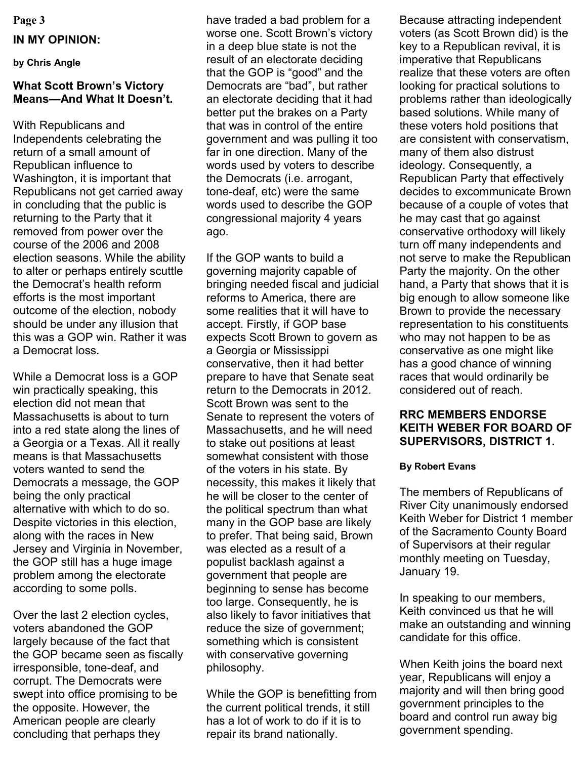**Page 3**

#### **IN MY OPINION:**

**by Chris Angle**

### **What Scott Brown's Victory Means—And What It Doesn't.**

With Republicans and Independents celebrating the return of a small amount of Republican influence to Washington, it is important that Republicans not get carried away in concluding that the public is returning to the Party that it removed from power over the course of the 2006 and 2008 election seasons. While the ability to alter or perhaps entirely scuttle the Democrat's health reform efforts is the most important outcome of the election, nobody should be under any illusion that this was a GOP win. Rather it was a Democrat loss.

While a Democrat loss is a GOP win practically speaking, this election did not mean that Massachusetts is about to turn into a red state along the lines of a Georgia or a Texas. All it really means is that Massachusetts voters wanted to send the Democrats a message, the GOP being the only practical alternative with which to do so. Despite victories in this election, along with the races in New Jersey and Virginia in November, the GOP still has a huge image problem among the electorate according to some polls.

Over the last 2 election cycles, voters abandoned the GOP largely because of the fact that the GOP became seen as fiscally irresponsible, tone-deaf, and corrupt. The Democrats were swept into office promising to be the opposite. However, the American people are clearly concluding that perhaps they

have traded a bad problem for a worse one. Scott Brown's victory in a deep blue state is not the result of an electorate deciding that the GOP is "good" and the Democrats are "bad", but rather an electorate deciding that it had better put the brakes on a Party that was in control of the entire government and was pulling it too far in one direction. Many of the words used by voters to describe the Democrats (i.e. arrogant, tone-deaf, etc) were the same words used to describe the GOP congressional majority 4 years ago.

If the GOP wants to build a governing majority capable of bringing needed fiscal and judicial reforms to America, there are some realities that it will have to accept. Firstly, if GOP base expects Scott Brown to govern as a Georgia or Mississippi conservative, then it had better prepare to have that Senate seat return to the Democrats in 2012. Scott Brown was sent to the Senate to represent the voters of Massachusetts, and he will need to stake out positions at least somewhat consistent with those of the voters in his state. By necessity, this makes it likely that he will be closer to the center of the political spectrum than what many in the GOP base are likely to prefer. That being said, Brown was elected as a result of a populist backlash against a government that people are beginning to sense has become too large. Consequently, he is also likely to favor initiatives that reduce the size of government; something which is consistent with conservative governing philosophy.

While the GOP is benefitting from the current political trends, it still has a lot of work to do if it is to repair its brand nationally.

Because attracting independent voters (as Scott Brown did) is the key to a Republican revival, it is imperative that Republicans realize that these voters are often looking for practical solutions to problems rather than ideologically based solutions. While many of these voters hold positions that are consistent with conservatism, many of them also distrust ideology. Consequently, a Republican Party that effectively decides to excommunicate Brown because of a couple of votes that he may cast that go against conservative orthodoxy will likely turn off many independents and not serve to make the Republican Party the majority. On the other hand, a Party that shows that it is big enough to allow someone like Brown to provide the necessary representation to his constituents who may not happen to be as conservative as one might like has a good chance of winning races that would ordinarily be considered out of reach.

## **RRC MEMBERS ENDORSE KEITH WEBER FOR BOARD OF SUPERVISORS, DISTRICT 1.**

#### **By Robert Evans**

The members of Republicans of River City unanimously endorsed Keith Weber for District 1 member of the Sacramento County Board of Supervisors at their regular monthly meeting on Tuesday, January 19.

In speaking to our members, Keith convinced us that he will make an outstanding and winning candidate for this office.

When Keith joins the board next year, Republicans will enjoy a majority and will then bring good government principles to the board and control run away big government spending.